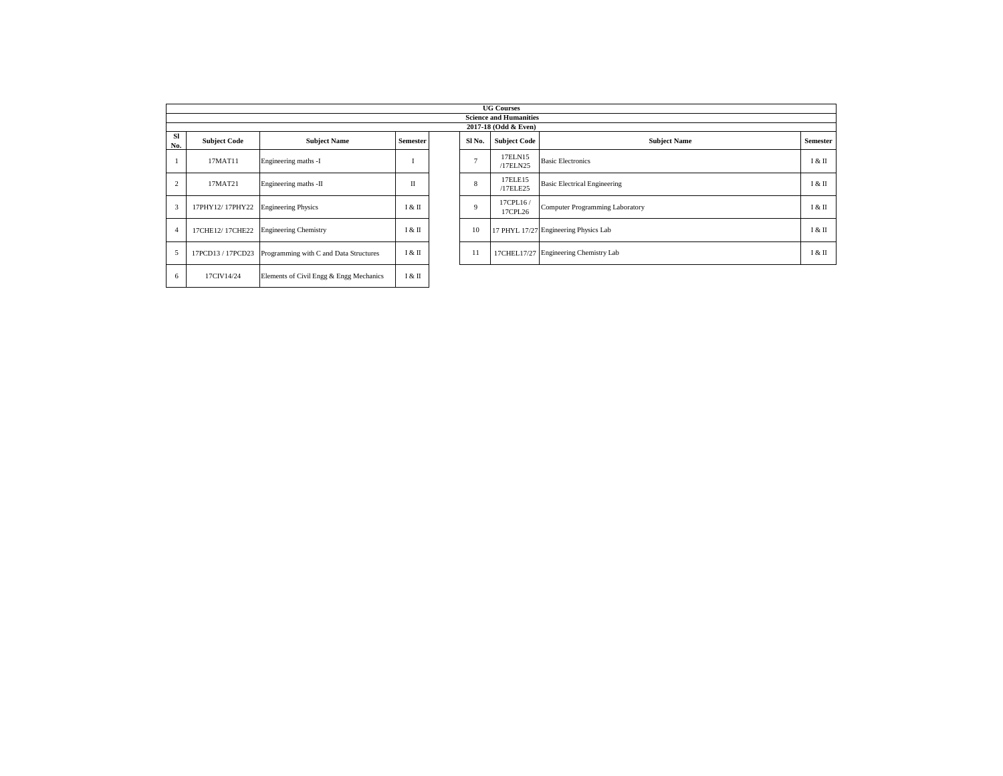|                  |                     |                                         |                 |                   | <b>UG Courses</b>                                     |                                       |          |
|------------------|---------------------|-----------------------------------------|-----------------|-------------------|-------------------------------------------------------|---------------------------------------|----------|
|                  |                     |                                         |                 |                   | <b>Science and Humanities</b><br>2017-18 (Odd & Even) |                                       |          |
| <b>SI</b><br>No. | <b>Subject Code</b> | <b>Subject Name</b>                     | <b>Semester</b> | SI <sub>No.</sub> | <b>Subject Code</b>                                   | <b>Subject Name</b>                   | Semester |
|                  | 17MAT11             | Engineering maths -I                    |                 | $\overline{ }$    | 17ELN15<br>/17ELN25                                   | <b>Basic Electronics</b>              | I & II   |
| $\overline{2}$   | 17MAT21             | Engineering maths -II                   | П               | 8                 | 17ELE15<br>/17ELE25                                   | <b>Basic Electrical Engineering</b>   | I & II   |
| 3                | 17PHY12/17PHY22     | <b>Engineering Physics</b>              | I & II          | $\mathbf{Q}$      | 17CPL16/<br>17CPL26                                   | Computer Programming Laboratory       | 1 & П    |
|                  | 17CHE12/17CHE22     | <b>Engineering Chemistry</b>            | I & II          | 10                |                                                       | 17 PHYL 17/27 Engineering Physics Lab | I & II   |
| 5                | 17PCD13 / 17PCD23   | Programming with C and Data Structures  | I & II          | 11                |                                                       | 17CHEL17/27 Engineering Chemistry Lab | I & II   |
| 6                | 17CIV14/24          | Elements of Civil Engg & Engg Mechanics | I & II          |                   |                                                       |                                       |          |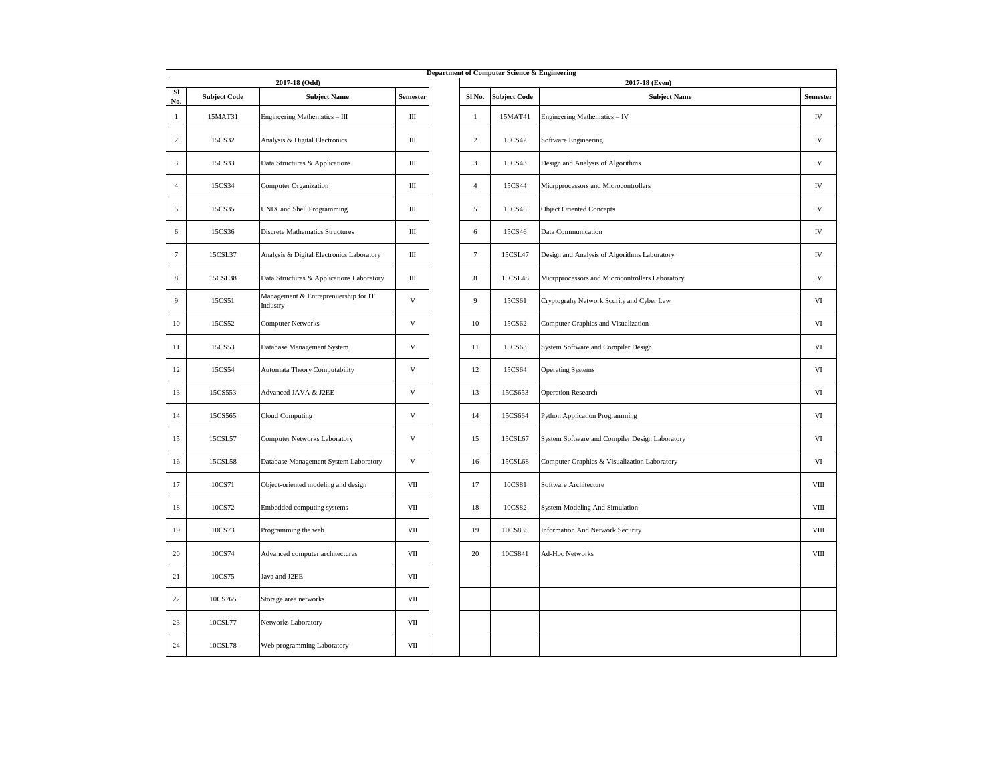|                 | Department of Computer Science & Engineering<br>2017-18 (Odd)<br>2017-18 (Even) |                                                  |                           |  |                |                     |                                                 |                 |  |  |  |  |  |
|-----------------|---------------------------------------------------------------------------------|--------------------------------------------------|---------------------------|--|----------------|---------------------|-------------------------------------------------|-----------------|--|--|--|--|--|
| SI<br>No.       | <b>Subject Code</b>                                                             | <b>Subject Name</b>                              | Semester                  |  | Sl No.         | <b>Subject Code</b> | <b>Subject Name</b>                             | <b>Semester</b> |  |  |  |  |  |
| $\mathbf{1}$    | 15MAT31                                                                         | Engineering Mathematics - III                    | Ш                         |  | $\mathbf{1}$   | 15MAT41             | Engineering Mathematics - IV                    | ${\rm IV}$      |  |  |  |  |  |
| 2               | 15CS32                                                                          | Analysis & Digital Electronics                   | Ш                         |  | 2              | 15CS42              | Software Engineering                            | IV              |  |  |  |  |  |
| 3               | 15CS33                                                                          | Data Structures & Applications                   | Ш                         |  | $\mathbf{3}$   | 15CS43              | Design and Analysis of Algorithms               | IV              |  |  |  |  |  |
| $\overline{4}$  | 15CS34                                                                          | Computer Organization                            | Ш                         |  | $\overline{4}$ | 15CS44              | Microprocessors and Microcontrollers            | ${\rm IV}$      |  |  |  |  |  |
| 5               | 15CS35                                                                          | UNIX and Shell Programming                       | Ш                         |  | 5              | 15CS45              | <b>Object Oriented Concepts</b>                 | ${\rm IV}$      |  |  |  |  |  |
| 6               | 15CS36                                                                          | <b>Discrete Mathematics Structures</b>           | Ш                         |  | 6              | 15CS46              | Data Communication                              | ${\rm IV}$      |  |  |  |  |  |
| $7\phantom{.0}$ | 15CSL37                                                                         | Analysis & Digital Electronics Laboratory        | Ш                         |  | $\tau$         | 15CSL47             | Design and Analysis of Algorithms Laboratory    | ${\rm IV}$      |  |  |  |  |  |
| 8               | 15CSL38                                                                         | Data Structures & Applications Laboratory        | Ш                         |  | $\bf 8$        | 15CSL48             | Microprocessors and Microcontrollers Laboratory | ${\rm IV}$      |  |  |  |  |  |
| 9               | 15CS51                                                                          | Management & Entreprenuership for IT<br>Industry | $\mathbf V$               |  | 9              | 15CS61              | Cryptograhy Network Scurity and Cyber Law       | VI              |  |  |  |  |  |
| 10              | 15CS52                                                                          | <b>Computer Networks</b>                         | $\mathbf{V}$              |  | 10             | 15CS62              | Computer Graphics and Visualization             | VI              |  |  |  |  |  |
| 11              | 15CS53                                                                          | Database Management System                       | $\ensuremath{\mathbf{V}}$ |  | 11             | 15CS63              | System Software and Compiler Design             | $_{\rm VI}$     |  |  |  |  |  |
| 12              | 15CS54                                                                          | Automata Theory Computability                    | $\mathbf V$               |  | 12             | 15CS64              | <b>Operating Systems</b>                        | VI              |  |  |  |  |  |
| 13              | 15CS553                                                                         | Advanced JAVA & J2EE                             | $\ensuremath{\mathbf{V}}$ |  | 13             | 15CS653             | <b>Operation Research</b>                       | $_{\rm VI}$     |  |  |  |  |  |
| 14              | 15CS565                                                                         | Cloud Computing                                  | V                         |  | 14             | 15CS664             | Python Application Programming                  | VI              |  |  |  |  |  |
| 15              | 15CSL57                                                                         | Computer Networks Laboratory                     | $\ensuremath{\mathbf{V}}$ |  | 15             | 15CSL67             | System Software and Compiler Design Laboratory  | VI              |  |  |  |  |  |
| 16              | 15CSL58                                                                         | Database Management System Laboratory            | $\mathbf V$               |  | 16             | 15CSL68             | Computer Graphics & Visualization Laboratory    | VI              |  |  |  |  |  |
| 17              | 10CS71                                                                          | Object-oriented modeling and design              | VII                       |  | 17             | 10CS81              | Software Architecture                           | VIII            |  |  |  |  |  |
| 18              | 10CS72                                                                          | Embedded computing systems                       | VII                       |  | 18             | 10CS82              | System Modeling And Simulation                  | VIII            |  |  |  |  |  |
| 19              | 10CS73                                                                          | Programming the web                              | VII                       |  | 19             | 10CS835             | <b>Information And Network Security</b>         | VIII            |  |  |  |  |  |
| 20              | 10CS74                                                                          | Advanced computer architectures                  | VII                       |  | 20             | 10CS841             | Ad-Hoc Networks                                 | VIII            |  |  |  |  |  |
| 21              | 10CS75                                                                          | Java and J2EE                                    | VII                       |  |                |                     |                                                 |                 |  |  |  |  |  |
| $22\,$          | 10CS765                                                                         | Storage area networks                            | VII                       |  |                |                     |                                                 |                 |  |  |  |  |  |
| 23              | 10CSL77                                                                         | Networks Laboratory                              | VII                       |  |                |                     |                                                 |                 |  |  |  |  |  |
| 24              | 10CSL78                                                                         | Web programming Laboratory                       | VII                       |  |                |                     |                                                 |                 |  |  |  |  |  |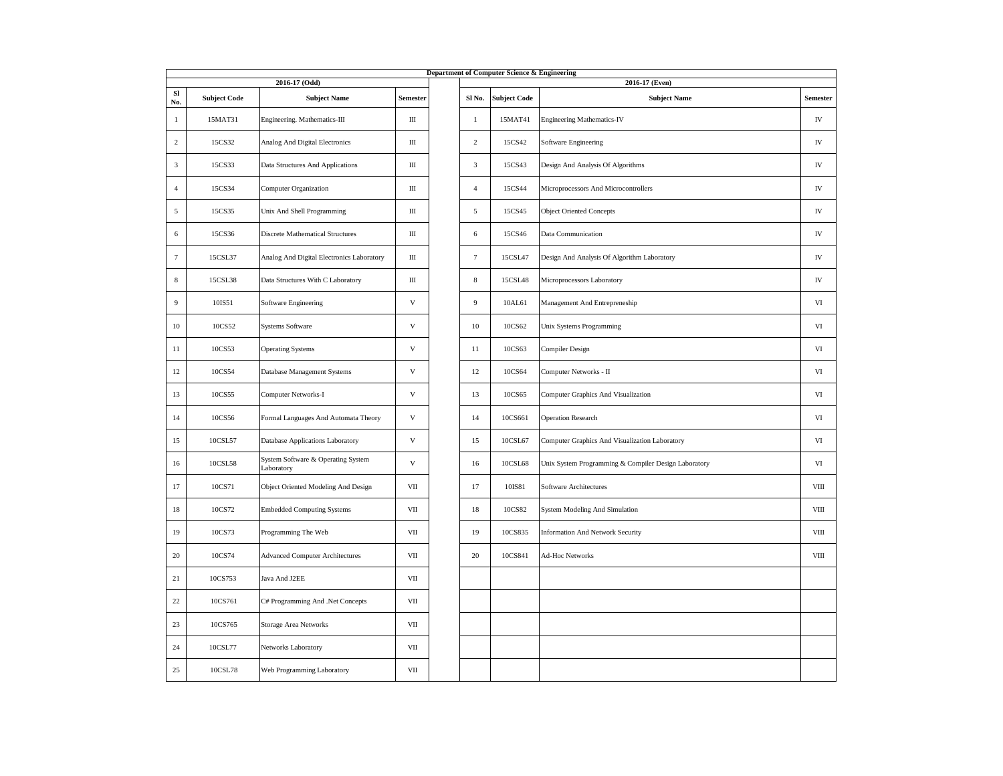|                 |                     |                                                  |                           |                | Department of Computer Science & Engineering |                                                      |                 |
|-----------------|---------------------|--------------------------------------------------|---------------------------|----------------|----------------------------------------------|------------------------------------------------------|-----------------|
|                 |                     | 2016-17 (Odd)                                    |                           |                |                                              | 2016-17 (Even)                                       |                 |
| SI<br>No.       | <b>Subject Code</b> | <b>Subject Name</b>                              | Semester                  | Sl No.         | <b>Subject Code</b>                          | <b>Subject Name</b>                                  | <b>Semester</b> |
| -1              | 15MAT31             | Engineering. Mathematics-III                     | $\rm III$                 | $\mathbf{1}$   | 15MAT41                                      | <b>Engineering Mathematics-IV</b>                    | ${\rm IV}$      |
| 2               | 15CS32              | Analog And Digital Electronics                   | Ш                         | $\overline{c}$ | 15CS42                                       | Software Engineering                                 | IV              |
| 3               | 15CS33              | Data Structures And Applications                 | Ш                         | 3              | 15CS43                                       | Design And Analysis Of Algorithms                    | IV              |
| $\overline{4}$  | 15CS34              | <b>Computer Organization</b>                     | $\rm III$                 | $\overline{4}$ | 15CS44                                       | Microprocessors And Microcontrollers                 | ${\rm IV}$      |
| $\mathfrak{s}$  | 15CS35              | Unix And Shell Programming                       | $\rm III$                 | $\sqrt{5}$     | 15CS45                                       | <b>Object Oriented Concepts</b>                      | ${\rm IV}$      |
| 6               | 15CS36              | <b>Discrete Mathematical Structures</b>          | Ш                         | $\sqrt{6}$     | 15CS46                                       | Data Communication                                   | ${\rm IV}$      |
| $7\phantom{.0}$ | 15CSL37             | Analog And Digital Electronics Laboratory        | Ш                         | $\overline{7}$ | 15CSL47                                      | Design And Analysis Of Algorithm Laboratory          | ${\rm IV}$      |
| 8               | 15CSL38             | Data Structures With C Laboratory                | Ш                         | $\,$ 8 $\,$    | 15CSL48                                      | Microprocessors Laboratory                           | IV              |
| 9               | 10IS51              | Software Engineering                             | V                         | 9              | 10AL61                                       | Management And Entrepreneship                        | VI              |
| 10              | 10CS52              | <b>Systems Software</b>                          | $\mathbf{V}$              | 10             | 10CS62                                       | Unix Systems Programming                             | VI              |
| 11              | 10CS53              | <b>Operating Systems</b>                         | $\ensuremath{\mathbf{V}}$ | 11             | 10CS63                                       | Compiler Design                                      | $_{\rm VI}$     |
| 12              | 10CS54              | Database Management Systems                      | $\mathbf V$               | 12             | 10CS64                                       | Computer Networks - II                               | VI              |
| 13              | 10CS55              | Computer Networks-I                              | $\ensuremath{\mathbf{V}}$ | 13             | 10CS65                                       | Computer Graphics And Visualization                  | VI              |
| 14              | 10CS56              | Formal Languages And Automata Theory             | V                         | 14             | 10CS661                                      | <b>Operation Research</b>                            | VI              |
| 15              | 10CSL57             | Database Applications Laboratory                 | $\mathbf{V}$              | 15             | 10CSL67                                      | Computer Graphics And Visualization Laboratory       | VI              |
| 16              | 10CSL58             | System Software & Operating System<br>Laboratory | $\mathbf{V}$              | 16             | 10CSL68                                      | Unix System Programming & Compiler Design Laboratory | VI              |
| 17              | 10CS71              | Object Oriented Modeling And Design              | VII                       | 17             | 10IS81                                       | Software Architectures                               | $_{\rm VIII}$   |
| 18              | 10CS72              | <b>Embedded Computing Systems</b>                | VII                       | 18             | 10CS82                                       | System Modeling And Simulation                       | $_{\rm VIII}$   |
| 19              | 10CS73              | Programming The Web                              | VII                       | 19             | 10CS835                                      | <b>Information And Network Security</b>              | VIII            |
| 20              | 10CS74              | <b>Advanced Computer Architectures</b>           | VII                       | 20             | 10CS841                                      | Ad-Hoc Networks                                      | VIII            |
| 21              | 10CS753             | Java And J2EE                                    | VII                       |                |                                              |                                                      |                 |
| 22              | 10CS761             | C# Programming And .Net Concepts                 | VII                       |                |                                              |                                                      |                 |
| 23              | 10CS765             | Storage Area Networks                            | VII                       |                |                                              |                                                      |                 |
| 24              | 10CSL77             | Networks Laboratory                              | VII                       |                |                                              |                                                      |                 |
| 25              | 10CSL78             | Web Programming Laboratory                       | VII                       |                |                                              |                                                      |                 |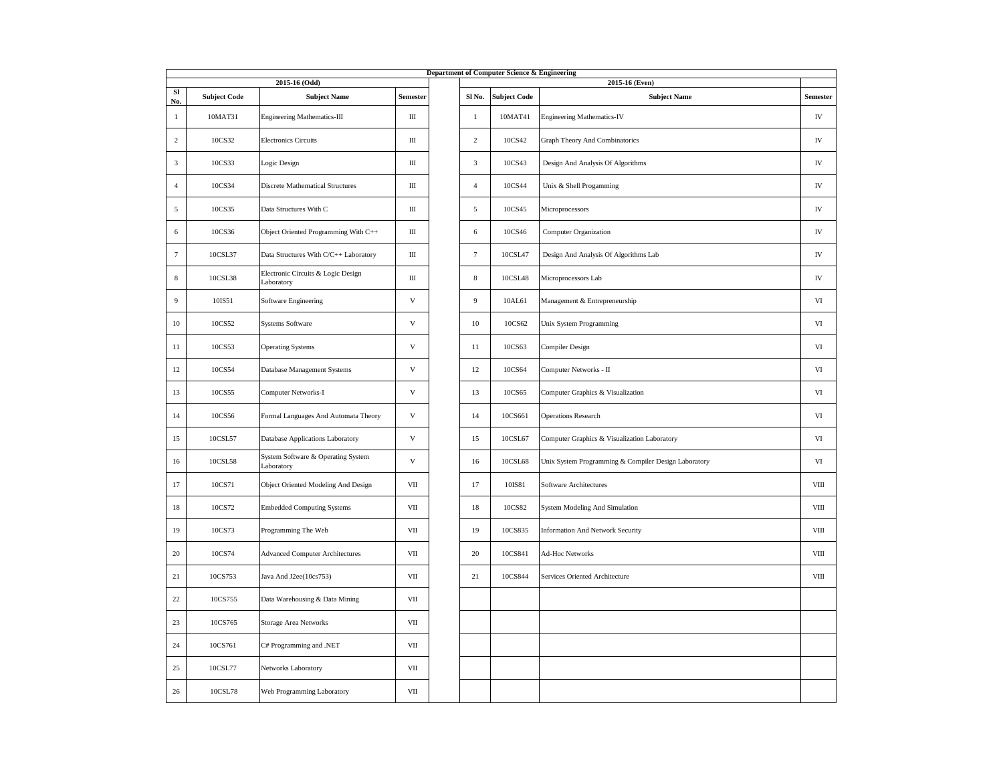|                |                     |                                                  |                           |                | Department of Computer Science & Engineering |                                                      |               |
|----------------|---------------------|--------------------------------------------------|---------------------------|----------------|----------------------------------------------|------------------------------------------------------|---------------|
|                |                     | 2015-16 (Odd)                                    |                           |                |                                              | 2015-16 (Even)                                       |               |
| SI<br>No.      | <b>Subject Code</b> | <b>Subject Name</b>                              | Semester                  | Sl No.         | <b>Subject Code</b>                          | <b>Subject Name</b>                                  | Semester      |
| 1              | 10MAT31             | <b>Engineering Mathematics-III</b>               | Ш                         | $\mathbf{1}$   | 10MAT41                                      | <b>Engineering Mathematics-IV</b>                    | IV            |
| $\sqrt{2}$     | 10CS32              | <b>Electronics Circuits</b>                      | $\rm III$                 | $\overline{c}$ | 10CS42                                       | Graph Theory And Combinatorics                       | ${\rm IV}$    |
| 3              | 10CS33              | Logic Design                                     | Ш                         | $\sqrt{3}$     | 10CS43                                       | Design And Analysis Of Algorithms                    | IV            |
| $\overline{4}$ | 10CS34              | <b>Discrete Mathematical Structures</b>          | Ш                         | $\overline{4}$ | 10CS44                                       | Unix & Shell Progamming                              | IV            |
| 5              | 10CS35              | Data Structures With C                           | Ш                         | 5              | 10CS45                                       | Microprocessors                                      | IV            |
| 6              | 10CS36              | Object Oriented Programming With C++             | Ш                         | 6              | 10CS46                                       | <b>Computer Organization</b>                         | IV            |
| $\tau$         | 10CSL37             | Data Structures With C/C++ Laboratory            | Ш                         | $\tau$         | 10CSL47                                      | Design And Analysis Of Algorithms Lab                | IV            |
| $\,$ 8 $\,$    | 10CSL38             | Electronic Circuits & Logic Design<br>Laboratory | $\rm III$                 | $\,$ 8 $\,$    | 10CSL48                                      | Microprocessors Lab                                  | ${\rm IV}$    |
| 9              | 10IS51              | Software Engineering                             | $\ensuremath{\mathbf{V}}$ | 9              | 10AL61                                       | Management & Entrepreneurship                        | VI            |
| 10             | 10CS52              | <b>Systems Software</b>                          | $\ensuremath{\mathbf{V}}$ | 10             | 10CS62                                       | Unix System Programming                              | VI            |
| 11             | 10CS53              | <b>Operating Systems</b>                         | $\mathbf{V}$              | 11             | 10CS63                                       | Compiler Design                                      | VI            |
| 12             | 10CS54              | Database Management Systems                      | V                         | 12             | 10CS64                                       | Computer Networks - II                               | VI            |
| 13             | 10CS55              | Computer Networks-I                              | $\ensuremath{\mathbf{V}}$ | 13             | 10CS65                                       | Computer Graphics & Visualization                    | VI            |
| 14             | 10CS56              | Formal Languages And Automata Theory             | $\ensuremath{\mathbf{V}}$ | 14             | 10CS661                                      | <b>Operations Research</b>                           | VI            |
| 15             | 10CSL57             | Database Applications Laboratory                 | $\ensuremath{\mathbf{V}}$ | 15             | 10CSL67                                      | Computer Graphics & Visualization Laboratory         | VI            |
| 16             | 10CSL58             | System Software & Operating System<br>Laboratory | $\ensuremath{\mathbf{V}}$ | 16             | 10CSL68                                      | Unix System Programming & Compiler Design Laboratory | VI            |
| 17             | 10CS71              | Object Oriented Modeling And Design              | VII                       | 17             | 10IS81                                       | Software Architectures                               | VIII          |
| 18             | 10CS72              | <b>Embedded Computing Systems</b>                | VII                       | 18             | 10CS82                                       | System Modeling And Simulation                       | VIII          |
| 19             | 10CS73              | Programming The Web                              | VII                       | 19             | 10CS835                                      | <b>Information And Network Security</b>              | $_{\rm VIII}$ |
| $20\,$         | 10CS74              | <b>Advanced Computer Architectures</b>           | $\rm{VII}$                | 20             | 10CS841                                      | Ad-Hoc Networks                                      | $_{\rm VIII}$ |
| 21             | 10CS753             | Java And J2ee(10cs753)                           | VII                       | $21\,$         | 10CS844                                      | Services Oriented Architecture                       | $_{\rm VIII}$ |
| $22\,$         | 10CS755             | Data Warehousing & Data Mining                   | VII                       |                |                                              |                                                      |               |
| 23             | 10CS765             | Storage Area Networks                            | VII                       |                |                                              |                                                      |               |
| 24             | 10CS761             | C# Programming and .NET                          | VII                       |                |                                              |                                                      |               |
| 25             | 10CSL77             | Networks Laboratory                              | VII                       |                |                                              |                                                      |               |
| 26             | 10CSL78             | Web Programming Laboratory                       | $\rm{VII}$                |                |                                              |                                                      |               |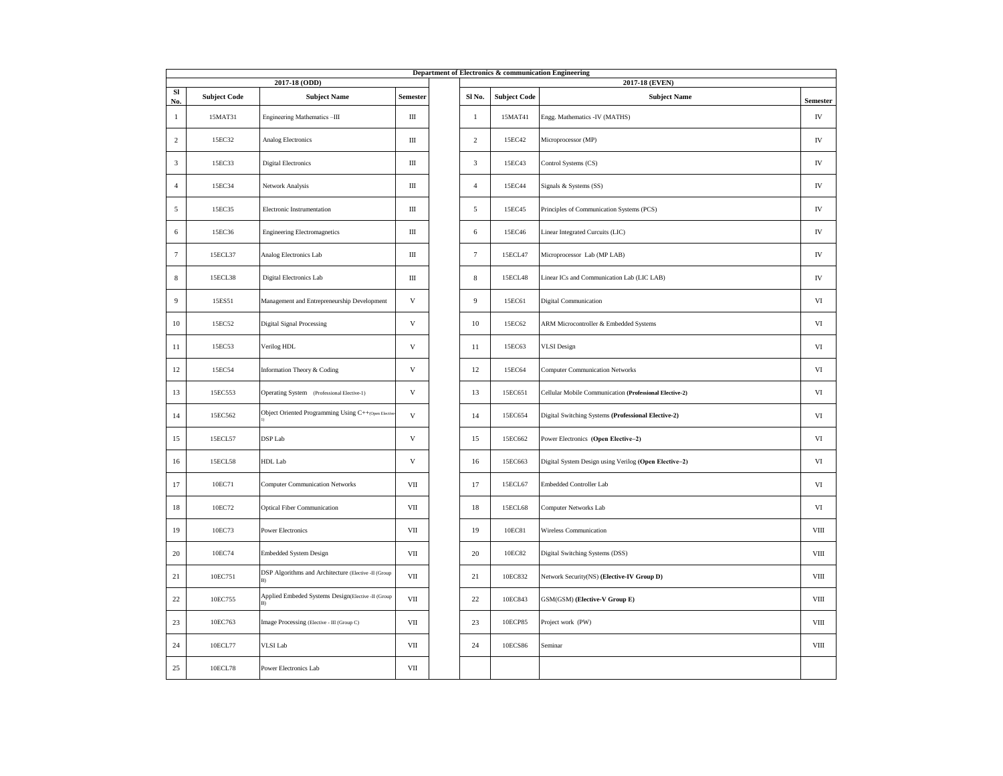|                |                     |                                                      |                           |                |                     | Department of Electronics & communication Engineering   |                 |
|----------------|---------------------|------------------------------------------------------|---------------------------|----------------|---------------------|---------------------------------------------------------|-----------------|
|                |                     | 2017-18 (ODD)                                        |                           |                |                     | 2017-18 (EVEN)                                          |                 |
| SI<br>No.      | <b>Subject Code</b> | <b>Subject Name</b>                                  | Semester                  | Sl No.         | <b>Subject Code</b> | <b>Subject Name</b>                                     | <b>Semester</b> |
| $\mathbf{1}$   | 15MAT31             | Engineering Mathematics-III                          | Ш                         | 1              | 15MAT41             | Engg. Mathematics -IV (MATHS)                           | IV              |
| 2              | 15EC32              | Analog Electronics                                   | Ш                         | $\overline{c}$ | 15EC42              | Microprocessor (MP)                                     | IV              |
| 3              | 15EC33              | <b>Digital Electronics</b>                           | Ш                         | 3              | 15EC43              | Control Systems (CS)                                    | ${\rm IV}$      |
| $\overline{4}$ | 15EC34              | Network Analysis                                     | Ш                         | $\overline{4}$ | 15EC44              | Signals & Systems (SS)                                  | ${\rm IV}$      |
| $\mathfrak{s}$ | 15EC35              | Electronic Instrumentation                           | Ш                         | $\sqrt{5}$     | 15EC45              | Principles of Communication Systems (PCS)               | ${\rm IV}$      |
| 6              | 15EC36              | <b>Engineering Electromagnetics</b>                  | Ш                         | 6              | 15EC46              | Linear Integrated Curcuits (LIC)                        | ${\rm IV}$      |
| 7              | 15ECL37             | Analog Electronics Lab                               | Ш                         | $\tau$         | 15ECL47             | Microprocessor Lab (MP LAB)                             | IV              |
| 8              | 15ECL38             | Digital Electronics Lab                              | Ш                         | $\,$ 8 $\,$    | 15ECL48             | Linear ICs and Communication Lab (LIC LAB)              | ${\rm IV}$      |
| 9              | 15ES51              | Management and Entrepreneurship Development          | $\ensuremath{\mathbf{V}}$ | 9              | 15EC61              | Digital Communication                                   | VI              |
| 10             | 15EC52              | Digital Signal Processing                            | $\mathbf V$               | 10             | 15EC62              | ARM Microcontroller & Embedded Systems                  | VI              |
| 11             | 15EC53              | Verilog HDL                                          | $\ensuremath{\mathbf{V}}$ | 11             | 15EC63              | <b>VLSI</b> Design                                      | VI              |
| 12             | 15EC54              | Information Theory & Coding                          | $\mathbf{V}$              | 12             | 15EC64              | <b>Computer Communication Networks</b>                  | VI              |
| 13             | 15EC553             | Operating System (Professional Elective-1)           | $\ensuremath{\mathbf{V}}$ | 13             | 15EC651             | Cellular Mobile Communication (Professional Elective-2) | $_{\rm VI}$     |
| 14             | 15EC562             | Object Oriented Programming Using C++(Open Electiv   | $\mathbf{V}$              | 14             | 15EC654             | Digital Switching Systems (Professional Elective-2)     | $_{\rm VI}$     |
| 15             | 15ECL57             | DSP Lab                                              | $\ensuremath{\mathbf{V}}$ | 15             | 15EC662             | Power Electronics (Open Elective-2)                     | VI              |
| 16             | 15ECL58             | HDL Lab                                              | $\mathbf{V}$              | 16             | 15EC663             | Digital System Design using Verilog (Open Elective-2)   | VI              |
| 17             | 10EC71              | <b>Computer Communication Networks</b>               | VII                       | 17             | 15ECL67             | Embedded Controller Lab                                 | VI              |
| $18\,$         | 10EC72              | <b>Optical Fiber Communication</b>                   | $\rm{VII}$                | 18             | 15ECL68             | Computer Networks Lab                                   | $_{\rm VI}$     |
| 19             | 10EC73              | <b>Power Electronics</b>                             | VII                       | 19             | 10EC81              | Wireless Communication                                  | $_{\rm VIII}$   |
| 20             | 10EC74              | Embedded System Design                               | VII                       | 20             | 10EC82              | Digital Switching Systems (DSS)                         | VIII            |
| 21             | 10EC751             | DSP Algorithms and Architecture (Elective -II (Group | VII                       | 21             | 10EC832             | Network Security(NS) (Elective-IV Group D)              | <b>VIII</b>     |
| 22             | 10EC755             | Applied Embeded Systems Design(Elective -II (Group   | VII                       | $22\,$         | 10EC843             | GSM(GSM) (Elective-V Group E)                           | $_{\rm VIII}$   |
| 23             | 10EC763             | Image Processing (Elective - III (Group C)           | VII                       | 23             | 10ECP85             | Project work (PW)                                       | VIII            |
| 24             | 10ECL77             | VLSI Lab                                             | VII                       | 24             | 10ECS86             | Seminar                                                 | $_{\rm VIII}$   |
| 25             | 10ECL78             | Power Electronics Lab                                | VII                       |                |                     |                                                         |                 |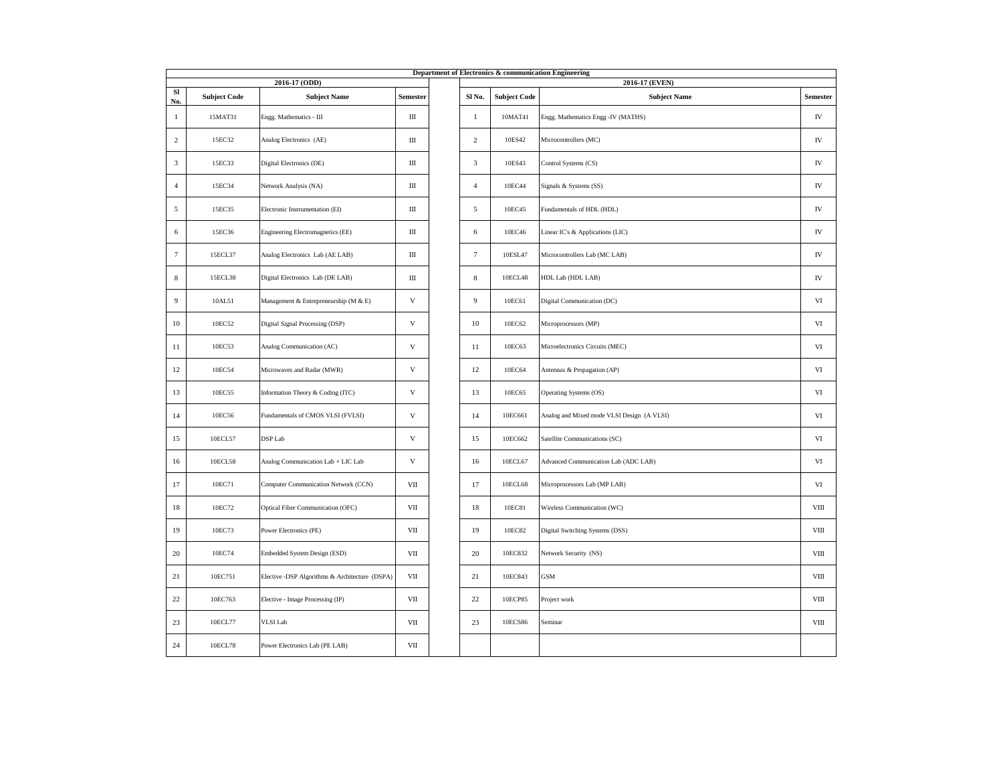|                |                     | 2016-17 (ODD)                                  |              |                |                     | Department of Electronics & communication Engineering<br>2016-17 (EVEN) |               |
|----------------|---------------------|------------------------------------------------|--------------|----------------|---------------------|-------------------------------------------------------------------------|---------------|
| SI             | <b>Subject Code</b> | <b>Subject Name</b>                            | Semester     | Sl No.         | <b>Subject Code</b> | <b>Subject Name</b>                                                     | Semester      |
| No.            |                     |                                                |              |                |                     |                                                                         |               |
| $\mathbf{1}$   | 15MAT31             | Engg. Mathematics - III                        | Ш            | $\mathbf{1}$   | 10MAT41             | Engg. Mathematics Engg -IV (MATHS)                                      | IV            |
| 2              | 15EC32              | Analog Electronics (AE)                        | Ш            | 2              | 10ES42              | Microcontrollers (MC)                                                   | IV            |
| $\mathbf{3}$   | 15EC33              | Digital Electronics (DE)                       | Ш            | $\sqrt{3}$     | 10ES43              | Control Systems (CS)                                                    | IV            |
| $\overline{4}$ | 15EC34              | Network Analysis (NA)                          | Ш            | 4              | 10EC44              | Signals & Systems (SS)                                                  | ${\rm IV}$    |
| 5              | 15EC35              | Electronic Instrumentation (EI)                | Ш            | 5              | 10EC45              | Fundamentals of HDL (HDL)                                               | IV            |
| 6              | 15EC36              | Engineering Electromagnetics (EE)              | Ш            | 6              | 10EC46              | Linear IC's & Applications (LIC)                                        | ${\rm IV}$    |
| $\overline{7}$ | 15ECL37             | Analog Electronics Lab (AE LAB)                | Ш            | $\overline{7}$ | 10ESL47             | Microcontrollers Lab (MC LAB)                                           | IV            |
| 8              | 15ECL38             | Digital Electronics Lab (DE LAB)               | Ш            | $\,$ 8 $\,$    | 10ECL48             | HDL Lab (HDL LAB)                                                       | IV            |
| 9              | 10AL51              | Management & Entrepreneurship (M & E)          | $\mathbf V$  | 9              | 10EC61              | Digital Communication (DC)                                              | $_{\rm VI}$   |
| 10             | 10EC52              | Digital Signal Processing (DSP)                | $\mathbf V$  | 10             | 10EC62              | Microprocessors (MP)                                                    | VI            |
| 11             | 10EC53              | Analog Communication (AC)                      | $\mathbf V$  | 11             | 10EC63              | Microelectronics Circuits (MEC)                                         | VI            |
| 12             | 10EC54              | Microwaves and Radar (MWR)                     | $\mathbf V$  | 12             | 10EC64              | Antennas & Propagation (AP)                                             | VI            |
| 13             | 10EC55              | Information Theory & Coding (ITC)              | $\mathbf{V}$ | 13             | 10EC65              | Operating Systems (OS)                                                  | VI            |
| 14             | 10EC56              | Fundamentals of CMOS VLSI (FVLSI)              | $\mathbf{V}$ | 14             | 10EC661             | Analog and Mixed mode VLSI Design (A VLSI)                              | VI            |
| 15             | 10ECL57             | DSP Lab                                        | $\mathbf{V}$ | 15             | 10EC662             | Satellite Communications (SC)                                           | $_{\rm VI}$   |
| 16             | 10ECL58             | Analog Communication Lab + LIC Lab             | $\mathbf{V}$ | 16             | 10ECL67             | Advanced Communication Lab (ADC LAB)                                    | VI            |
| 17             | 10EC71              | Computer Communication Network (CCN)           | VII          | 17             | 10ECL68             | Microprocessors Lab (MP LAB)                                            | VI            |
| 18             | 10EC72              | Optical Fiber Communication (OFC)              | VII          | 18             | 10EC81              | Wireless Communication (WC)                                             | VIII          |
| 19             | 10EC73              | Power Electronics (PE)                         | VII          | 19             | 10EC82              | Digital Switching Systems (DSS)                                         | $_{\rm VIII}$ |
| 20             | 10EC74              | Embedded System Design (ESD)                   | VII          | 20             | 10EC832             | Network Security (NS)                                                   | VIII          |
| 21             | 10EC751             | Elective -DSP Algorithms & Architecture (DSPA) | VII          | 21             | 10EC843             | <b>GSM</b>                                                              | VIII          |
| 22             | 10EC763             | Elective - Image Processing (IP)               | VII          | 22             | 10ECP85             | Project work                                                            | $_{\rm VIII}$ |
| 23             | 10ECL77             | VLSI Lab                                       | VII          | 23             | 10ECS86             | Seminar                                                                 | VIII          |
| 24             | 10ECL78             | Power Electronics Lab (PE LAB)                 | VII          |                |                     |                                                                         |               |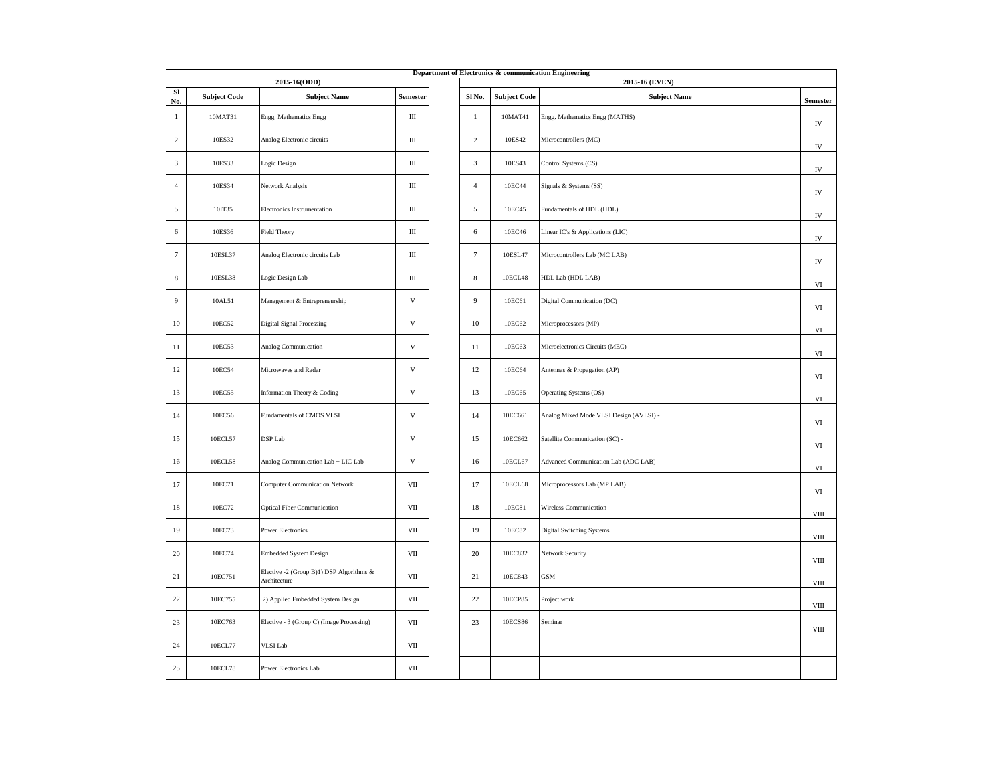|                |                     |                                                          |              |                  |                     | Department of Electronics & communication Engineering |                 |
|----------------|---------------------|----------------------------------------------------------|--------------|------------------|---------------------|-------------------------------------------------------|-----------------|
|                |                     | 2015-16(ODD)                                             |              |                  |                     | 2015-16 (EVEN)                                        |                 |
| Sl<br>No.      | <b>Subject Code</b> | <b>Subject Name</b>                                      | Semester     | Sl No.           | <b>Subject Code</b> | <b>Subject Name</b>                                   | <b>Semester</b> |
| $\mathbf{1}$   | 10MAT31             | Engg. Mathematics Engg                                   | Ш            | $\mathbf{1}$     | 10MAT41             | Engg. Mathematics Engg (MATHS)                        | ${\rm IV}$      |
| 2              | 10ES32              | Analog Electronic circuits                               | Ш            | $\overline{c}$   | 10ES42              | Microcontrollers (MC)                                 | ${\rm IV}$      |
| 3              | 10ES33              | Logic Design                                             | $\rm III$    | 3                | 10ES43              | Control Systems (CS)                                  | IV              |
| $\overline{4}$ | 10ES34              | Network Analysis                                         | Ш            | $\overline{4}$   | 10EC44              | Signals & Systems (SS)                                | ${\rm IV}$      |
| $\sqrt{5}$     | 10IT35              | Electronics Instrumentation                              | Ш            | 5                | 10EC45              | Fundamentals of HDL (HDL)                             | IV              |
| 6              | 10ES36              | Field Theory                                             | Ш            | 6                | 10EC46              | Linear IC's & Applications (LIC)                      | ${\rm IV}$      |
| $\overline{7}$ | 10ESL37             | Analog Electronic circuits Lab                           | Ш            | $\tau$           | 10ESL47             | Microcontrollers Lab (MC LAB)                         | ${\rm IV}$      |
| 8              | 10ESL38             | Logic Design Lab                                         | Ш            | $\,$ 8 $\,$      | 10ECL48             | HDL Lab (HDL LAB)                                     | $_{\rm VI}$     |
| 9              | 10AL51              | Management & Entrepreneurship                            | $\mathbf V$  | $\boldsymbol{9}$ | 10EC61              | Digital Communication (DC)                            | VI              |
| $10\,$         | 10EC52              | <b>Digital Signal Processing</b>                         | $\mathbf V$  | 10               | 10EC62              | Microprocessors (MP)                                  | VI              |
| 11             | 10EC53              | Analog Communication                                     | $\mathbf V$  | 11               | 10EC63              | Microelectronics Circuits (MEC)                       | VI              |
| 12             | 10EC54              | Microwaves and Radar                                     | $\mathbf{V}$ | 12               | 10EC64              | Antennas & Propagation (AP)                           | $_{\rm VI}$     |
| 13             | 10EC55              | Information Theory & Coding                              | $\mathbf V$  | 13               | 10EC65              | Operating Systems (OS)                                | VI              |
| 14             | 10EC56              | Fundamentals of CMOS VLSI                                | $\mathbf V$  | 14               | 10EC661             | Analog Mixed Mode VLSI Design (AVLSI) -               | VI              |
| 15             | 10ECL57             | DSP Lab                                                  | $\mathbf V$  | 15               | 10EC662             | Satellite Communication (SC) -                        | VI              |
| 16             | 10ECL58             | Analog Communication Lab + LIC Lab                       | $\mathbf V$  | 16               | 10ECL67             | Advanced Communication Lab (ADC LAB)                  | VI              |
| 17             | 10EC71              | <b>Computer Communication Network</b>                    | VII          | 17               | 10ECL68             | Microprocessors Lab (MP LAB)                          | VI              |
| $18\,$         | 10EC72              | <b>Optical Fiber Communication</b>                       | VII          | $18\,$           | 10EC81              | Wireless Communication                                | $_{\rm VIII}$   |
| 19             | 10EC73              | <b>Power Electronics</b>                                 | VII          | 19               | 10EC82              | Digital Switching Systems                             | $_{\rm VIII}$   |
| 20             | 10EC74              | <b>Embedded System Design</b>                            | VII          | 20               | 10EC832             | Network Security                                      | $_{\rm VIII}$   |
| 21             | 10EC751             | Elective -2 (Group B)1) DSP Algorithms &<br>Architecture | VII          | 21               | 10EC843             | $_{\mathrm{GSM}}$                                     | $_{\rm VIII}$   |
| 22             | 10EC755             | 2) Applied Embedded System Design                        | VII          | $22\,$           | 10ECP85             | Project work                                          | VIII            |
| 23             | 10EC763             | Elective - 3 (Group C) (Image Processing)                | VII          | 23               | 10ECS86             | Seminar                                               | $_{\rm VIII}$   |
| 24             | 10ECL77             | <b>VLSI</b> Lab                                          | VII          |                  |                     |                                                       |                 |
| 25             | 10ECL78             | Power Electronics Lab                                    | VII          |                  |                     |                                                       |                 |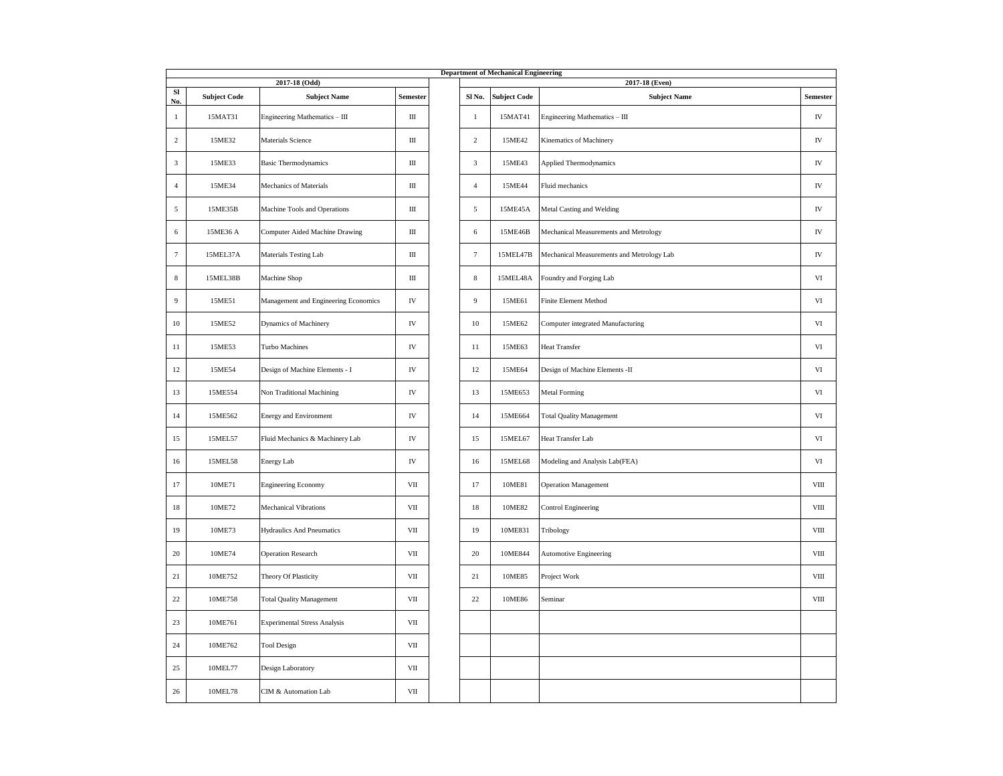|                     |                     |                                      |           |                | <b>Department of Mechanical Engineering</b> |                                           |                 |
|---------------------|---------------------|--------------------------------------|-----------|----------------|---------------------------------------------|-------------------------------------------|-----------------|
|                     |                     | 2017-18 (Odd)                        |           |                |                                             | 2017-18 (Even)                            |                 |
| SI                  | <b>Subject Code</b> | <b>Subject Name</b>                  | Semester  | Sl No.         | <b>Subject Code</b>                         | <b>Subject Name</b>                       | <b>Semester</b> |
| No.<br>$\mathbf{1}$ | 15MAT31             | Engineering Mathematics - III        | Ш         | $\mathbf{1}$   | 15MAT41                                     | Engineering Mathematics - III             | IV              |
| $\overline{2}$      | 15ME32              | Materials Science                    | $\rm III$ | $\sqrt{2}$     | 15ME42                                      | Kinematics of Machinery                   | ${\rm IV}$      |
| $\mathfrak z$       | 15ME33              | <b>Basic Thermodynamics</b>          | $\rm III$ | $\sqrt{3}$     | 15ME43                                      | Applied Thermodynamics                    | ${\rm IV}$      |
| $\Delta$            | 15ME34              | Mechanics of Materials               | $\rm III$ | $\overline{4}$ | 15ME44                                      | Fluid mechanics                           | ${\rm IV}$      |
| 5                   | 15ME35B             | Machine Tools and Operations         | $\rm III$ | $\sqrt{5}$     | 15ME45A                                     | Metal Casting and Welding                 | ${\rm IV}$      |
| 6                   | 15ME36 A            | Computer Aided Machine Drawing       | $\rm III$ | $\sqrt{6}$     | 15ME46B                                     | Mechanical Measurements and Metrology     | ${\rm IV}$      |
| 7                   | 15MEL37A            | Materials Testing Lab                | Ш         | $\tau$         | 15MEL47B                                    | Mechanical Measurements and Metrology Lab | ${\rm IV}$      |
| 8                   | 15MEL38B            | Machine Shop                         | Ш         | $\,$ 8 $\,$    | 15MEL48A                                    | Foundry and Forging Lab                   | VI              |
| 9                   | 15ME51              | Management and Engineering Economics | IV        | 9              | 15ME61                                      | Finite Element Method                     | $\rm{VI}$       |
| $10\,$              | 15ME52              | Dynamics of Machinery                | IV        | 10             | 15ME62                                      | Computer integrated Manufacturing         | VI              |
| 11                  | 15ME53              | Turbo Machines                       | IV        | 11             | 15ME63                                      | <b>Heat Transfer</b>                      | VI              |
| 12                  | 15ME54              | Design of Machine Elements - I       | IV        | 12             | 15ME64                                      | Design of Machine Elements -II            | $_{\rm VI}$     |
| 13                  | 15ME554             | Non Traditional Machining            | IV        | 13             | 15ME653                                     | <b>Metal Forming</b>                      | VI              |
| 14                  | 15ME562             | <b>Energy and Environment</b>        | IV        | 14             | 15ME664                                     | <b>Total Quality Management</b>           | VI              |
| 15                  | 15MEL57             | Fluid Mechanics & Machinery Lab      | IV        | 15             | 15MEL67                                     | Heat Transfer Lab                         | $_{\rm VI}$     |
| 16                  | 15MEL58             | Energy Lab                           | IV        | 16             | 15MEL68                                     | Modeling and Analysis Lab(FEA)            | $_{\rm VI}$     |
| 17                  | 10ME71              | <b>Engineering Economy</b>           | VII       | 17             | 10ME81                                      | <b>Operation Management</b>               | VIII            |
| 18                  | 10ME72              | Mechanical Vibrations                | VII       | $18\,$         | 10ME82                                      | <b>Control Engineering</b>                | VIII            |
| 19                  | 10ME73              | <b>Hydraulics And Pneumatics</b>     | VII       | 19             | 10ME831                                     | Tribology                                 | VIII            |
| 20                  | 10ME74              | <b>Operation Research</b>            | VII       | 20             | 10ME844                                     | Automotive Engineering                    | VIII            |
| 21                  | 10ME752             | Theory Of Plasticity                 | VII       | 21             | 10ME85                                      | Project Work                              | <b>VIII</b>     |
| 22                  | 10ME758             | <b>Total Quality Management</b>      | VII       | 22             | 10ME86                                      | Seminar                                   | VIII            |
| 23                  | 10ME761             | <b>Experimental Stress Analysis</b>  | VII       |                |                                             |                                           |                 |
| 24                  | 10ME762             | <b>Tool Design</b>                   | VII       |                |                                             |                                           |                 |
| 25                  | 10MEL77             | Design Laboratory                    | VII       |                |                                             |                                           |                 |
| 26                  | 10MEL78             | CIM & Automation Lab                 | VII       |                |                                             |                                           |                 |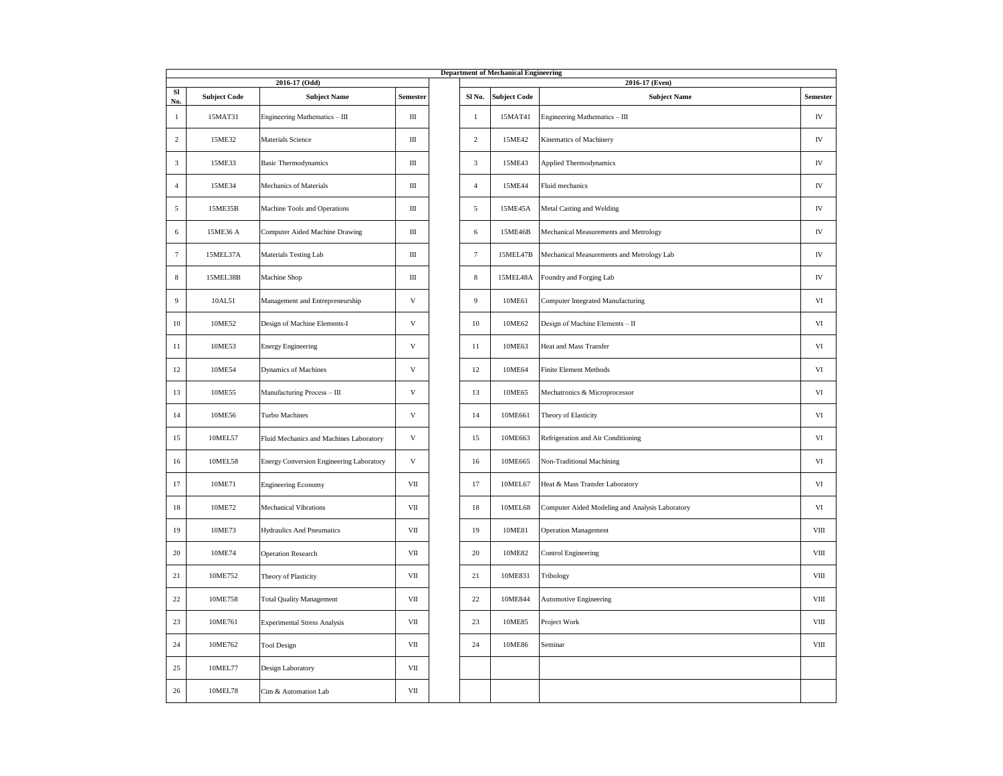|                |                     |                                          |                           |                | <b>Department of Mechanical Engineering</b> |                                                 |                 |
|----------------|---------------------|------------------------------------------|---------------------------|----------------|---------------------------------------------|-------------------------------------------------|-----------------|
|                |                     | 2016-17 (Odd)                            |                           |                |                                             | 2016-17 (Even)                                  |                 |
| SI<br>No.      | <b>Subject Code</b> | <b>Subject Name</b>                      | Semester                  | Sl No.         | <b>Subject Code</b>                         | <b>Subject Name</b>                             | <b>Semester</b> |
| $\mathbf{1}$   | 15MAT31             | Engineering Mathematics - III            | Ш                         | 1              | 15MAT41                                     | Engineering Mathematics - III                   | IV              |
| $\,2$          | 15ME32              | Materials Science                        | Ш                         | $\overline{c}$ | 15ME42                                      | Kinematics of Machinery                         | IV              |
| 3              | 15ME33              | <b>Basic Thermodynamics</b>              | Ш                         | 3              | 15ME43                                      | Applied Thermodynamics                          | IV              |
| $\overline{4}$ | 15ME34              | Mechanics of Materials                   | Ш                         | $\overline{4}$ | 15ME44                                      | Fluid mechanics                                 | IV              |
| 5              | 15ME35B             | Machine Tools and Operations             | Ш                         | 5              | 15ME45A                                     | Metal Casting and Welding                       | IV              |
| 6              | 15ME36 A            | Computer Aided Machine Drawing           | Ш                         | 6              | 15ME46B                                     | Mechanical Measurements and Metrology           | IV              |
| 7              | 15MEL37A            | Materials Testing Lab                    | Ш                         | $\tau$         | 15MEL47B                                    | Mechanical Measurements and Metrology Lab       | IV              |
| $\,$ 8 $\,$    | 15MEL38B            | Machine Shop                             | $\rm III$                 | $\,$ 8 $\,$    | 15MEL48A                                    | Foundry and Forging Lab                         | IV              |
| 9              | 10AL51              | Management and Entrepreneurship          | $\ensuremath{\mathbf{V}}$ | 9              | 10ME61                                      | Computer Integrated Manufacturing               | VI              |
| 10             | 10ME52              | Design of Machine Elements-I             | V                         | 10             | 10ME62                                      | Design of Machine Elements - II                 | VI              |
| 11             | 10ME53              | <b>Energy Engineering</b>                | $\mathbf{V}$              | 11             | 10ME63                                      | Heat and Mass Transfer                          | VI              |
| 12             | 10ME54              | Dynamics of Machines                     | $\ensuremath{\mathbf{V}}$ | 12             | 10ME64                                      | <b>Finite Element Methods</b>                   | VI              |
| 13             | 10ME55              | Manufacturing Process - III              | $\ensuremath{\mathbf{V}}$ | 13             | 10ME65                                      | Mechatronics & Microprocessor                   | VI              |
| 14             | 10ME56              | Turbo Machines                           | $\mathbf{V}$              | 14             | 10ME661                                     | Theory of Elasticity                            | VI              |
| 15             | 10MEL57             | Fluid Mechanics and Machines Laboratory  | $\mathbf{V}$              | 15             | 10ME663                                     | Refrigeration and Air Conditioning              | VI              |
| 16             | 10MEL58             | Energy Conversion Engineering Laboratory | V                         | 16             | 10ME665                                     | Non-Traditional Machining                       | VI              |
| 17             | 10ME71              | <b>Engineering Economy</b>               | VII                       | 17             | 10MEL67                                     | Heat & Mass Transfer Laboratory                 | VI              |
| 18             | 10ME72              | <b>Mechanical Vibrations</b>             | VII                       | 18             | 10MEL68                                     | Computer Aided Modeling and Analysis Laboratory | VI              |
| 19             | 10ME73              | <b>Hydraulics And Pneumatics</b>         | VII                       | 19             | 10ME81                                      | Operation Management                            | VIII            |
| $20\,$         | 10ME74              | <b>Operation Research</b>                | $_{\rm VII}$              | 20             | 10ME82                                      | <b>Control Engineering</b>                      | $_{\rm VIII}$   |
| 21             | 10ME752             | Theory of Plasticity                     | VII                       | 21             | 10ME831                                     | Tribology                                       | VIII            |
| 22             | 10ME758             | <b>Total Quality Management</b>          | VII                       | 22             | 10ME844                                     | Automotive Engineering                          | VIII            |
| 23             | 10ME761             | <b>Experimental Stress Analysis</b>      | VII                       | 23             | 10ME85                                      | Project Work                                    | VIII            |
| 24             | 10ME762             | <b>Tool Design</b>                       | VII                       | 24             | 10ME86                                      | Seminar                                         | VIII            |
| 25             | 10MEL77             | Design Laboratory                        | $_{\rm VII}$              |                |                                             |                                                 |                 |
| 26             | 10MEL78             | Cim & Automation Lab                     | $_{\rm VII}$              |                |                                             |                                                 |                 |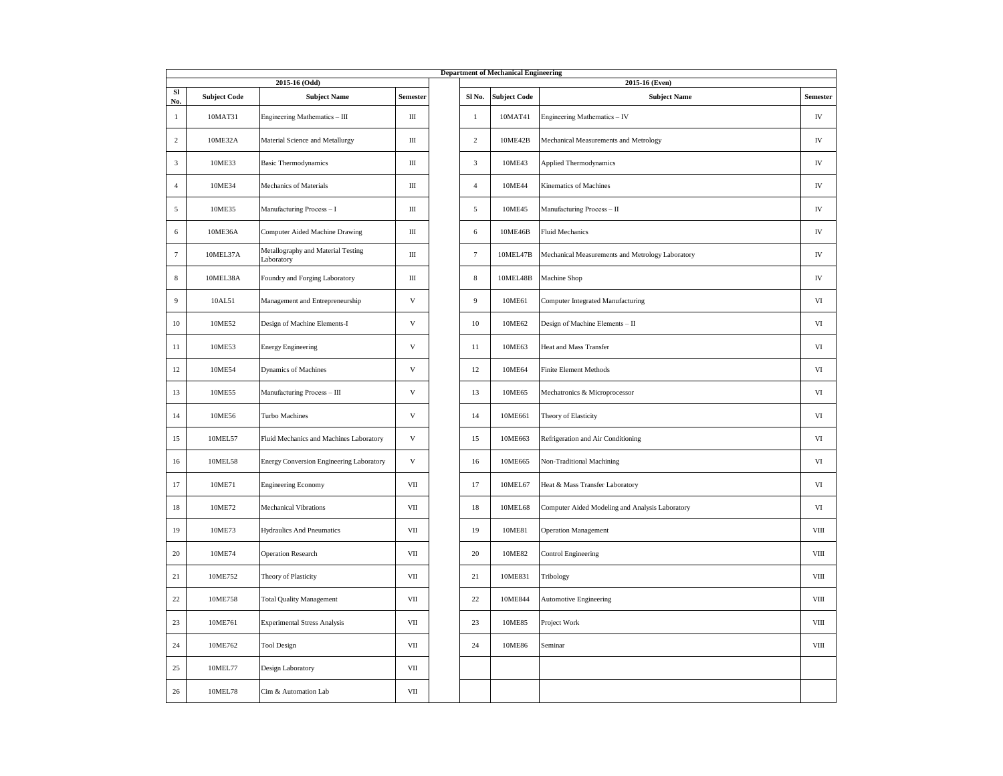|                     |                     |                                                  |                           |                | <b>Department of Mechanical Engineering</b> |                                                  |               |
|---------------------|---------------------|--------------------------------------------------|---------------------------|----------------|---------------------------------------------|--------------------------------------------------|---------------|
|                     |                     | 2015-16 (Odd)                                    |                           |                |                                             | 2015-16 (Even)                                   |               |
| SI                  | <b>Subject Code</b> | <b>Subject Name</b>                              | Semester                  | Sl No.         | <b>Subject Code</b>                         | <b>Subject Name</b>                              | Semester      |
| No.<br>$\mathbf{1}$ | 10MAT31             | Engineering Mathematics - III                    | Ш                         | $\mathbf{1}$   | 10MAT41                                     | Engineering Mathematics - IV                     | IV            |
| $\overline{2}$      | 10ME32A             | Material Science and Metallurgy                  | $\rm III$                 | $\,2$          | 10ME42B                                     | Mechanical Measurements and Metrology            | ${\rm IV}$    |
| 3                   | 10ME33              | <b>Basic Thermodynamics</b>                      | Ш                         | 3              | 10ME43                                      | Applied Thermodynamics                           | ${\rm IV}$    |
| $\overline{4}$      | 10ME34              | Mechanics of Materials                           | Ш                         | $\overline{4}$ | 10ME44                                      | Kinematics of Machines                           | IV            |
| 5                   | 10ME35              | Manufacturing Process - I                        | Ш                         | 5              | 10ME45                                      | Manufacturing Process - II                       | IV            |
| 6                   | 10ME36A             | Computer Aided Machine Drawing                   | Ш                         | 6              | 10ME46B                                     | <b>Fluid Mechanics</b>                           | IV            |
| $\tau$              | 10MEL37A            | Metallography and Material Testing<br>Laboratory | Ш                         | $\tau$         | 10MEL47B                                    | Mechanical Measurements and Metrology Laboratory | IV            |
| $\,$ 8 $\,$         | 10MEL38A            | Foundry and Forging Laboratory                   | Ш                         | $\,$ 8 $\,$    | 10MEL48B                                    | Machine Shop                                     | IV            |
| 9                   | 10AL51              | Management and Entrepreneurship                  | $\mathbf V$               | 9              | 10ME61                                      | Computer Integrated Manufacturing                | VI            |
| 10                  | 10ME52              | Design of Machine Elements-I                     | $\ensuremath{\mathsf{V}}$ | 10             | 10ME62                                      | Design of Machine Elements - II                  | $\rm{VI}$     |
| 11                  | 10ME53              | <b>Energy Engineering</b>                        | $\mathbf V$               | 11             | 10ME63                                      | Heat and Mass Transfer                           | VI            |
| 12                  | 10ME54              | Dynamics of Machines                             | $\ensuremath{\mathsf{V}}$ | 12             | 10ME64                                      | <b>Finite Element Methods</b>                    | VI            |
| 13                  | 10ME55              | Manufacturing Process - III                      | $\ensuremath{\mathsf{V}}$ | 13             | 10ME65                                      | Mechatronics & Microprocessor                    | $\rm{VI}$     |
| 14                  | 10ME56              | Turbo Machines                                   | $\ensuremath{\mathsf{V}}$ | 14             | 10ME661                                     | Theory of Elasticity                             | $\rm{VI}$     |
| 15                  | 10MEL57             | Fluid Mechanics and Machines Laboratory          | $\ensuremath{\mathsf{V}}$ | 15             | 10ME663                                     | Refrigeration and Air Conditioning               | $\rm{VI}$     |
| 16                  | 10MEL58             | Energy Conversion Engineering Laboratory         | $\mathbf V$               | 16             | 10ME665                                     | Non-Traditional Machining                        | $_{\rm VI}$   |
| 17                  | 10ME71              | <b>Engineering Economy</b>                       | VII                       | 17             | 10MEL67                                     | Heat & Mass Transfer Laboratory                  | $_{\rm VI}$   |
| 18                  | 10ME72              | <b>Mechanical Vibrations</b>                     | VII                       | 18             | 10MEL68                                     | Computer Aided Modeling and Analysis Laboratory  | VI            |
| 19                  | 10ME73              | <b>Hydraulics And Pneumatics</b>                 | VII                       | 19             | 10ME81                                      | <b>Operation Management</b>                      | VIII          |
| 20                  | 10ME74              | <b>Operation Research</b>                        | VII                       | $20\,$         | 10ME82                                      | <b>Control Engineering</b>                       | $_{\rm VIII}$ |
| 21                  | 10ME752             | Theory of Plasticity                             | VII                       | 21             | 10ME831                                     | Tribology                                        | $_{\rm VIII}$ |
| $22\,$              | 10ME758             | <b>Total Quality Management</b>                  | $\rm{VII}$                | $22\,$         | 10ME844                                     | <b>Automotive Engineering</b>                    | $_{\rm VIII}$ |
| 23                  | 10ME761             | <b>Experimental Stress Analysis</b>              | VII                       | 23             | 10ME85                                      | Project Work                                     | VIII          |
| 24                  | 10ME762             | <b>Tool Design</b>                               | VII                       | 24             | 10ME86                                      | Seminar                                          | VIII          |
| 25                  | 10MEL77             | Design Laboratory                                | VII                       |                |                                             |                                                  |               |
| 26                  | 10MEL78             | Cim & Automation Lab                             | VII                       |                |                                             |                                                  |               |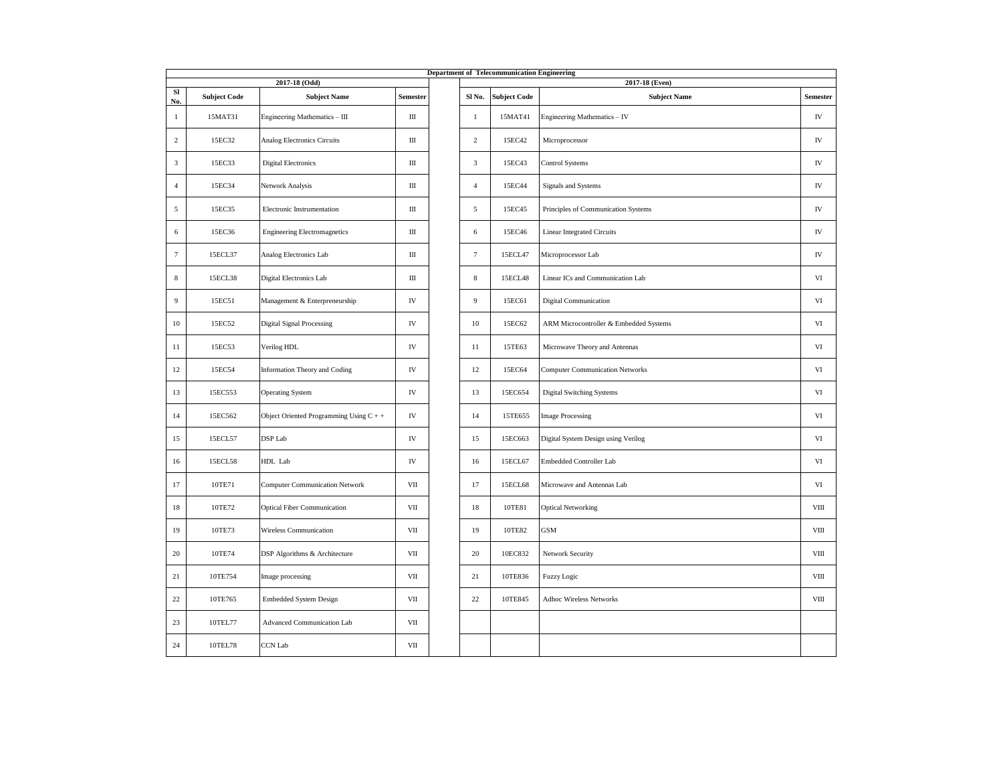|                |                     |                                           |            |                | <b>Department of Telecommunication Engineering</b> |                                        |               |
|----------------|---------------------|-------------------------------------------|------------|----------------|----------------------------------------------------|----------------------------------------|---------------|
| SI             |                     | 2017-18 (Odd)                             |            |                |                                                    | 2017-18 (Even)                         |               |
| No.            | <b>Subject Code</b> | <b>Subject Name</b>                       | Semester   | Sl No.         | <b>Subject Code</b>                                | <b>Subject Name</b>                    | Semester      |
| $\mathbf{1}$   | 15MAT31             | Engineering Mathematics - III             | Ш          | $\mathbf{1}$   | 15MAT41                                            | Engineering Mathematics - IV           | IV            |
| 2              | 15EC32              | Analog Electronics Circuits               | Ш          | $\,2$          | 15EC42                                             | Microprocessor                         | ${\rm IV}$    |
| $\mathbf{3}$   | 15EC33              | <b>Digital Electronics</b>                | Ш          | $\sqrt{3}$     | 15EC43                                             | <b>Control Systems</b>                 | ${\rm IV}$    |
| $\overline{4}$ | 15EC34              | Network Analysis                          | Ш          | $\overline{4}$ | 15EC44                                             | Signals and Systems                    | ${\rm IV}$    |
| 5              | 15EC35              | Electronic Instrumentation                | Ш          | 5              | 15EC45                                             | Principles of Communication Systems    | IV            |
| 6              | 15EC36              | <b>Engineering Electromagnetics</b>       | Ш          | 6              | 15EC46                                             | <b>Linear Integrated Circuits</b>      | ${\rm IV}$    |
| $\overline{7}$ | 15ECL37             | Analog Electronics Lab                    | Ш          | $\overline{7}$ | 15ECL47                                            | Microprocessor Lab                     | ${\rm IV}$    |
| 8              | 15ECL38             | Digital Electronics Lab                   | Ш          | $\,$ 8 $\,$    | 15ECL48                                            | Linear ICs and Communication Lab       | VI            |
| 9              | 15EC51              | Management & Enterpreneurship             | ${\rm IV}$ | 9              | 15EC61                                             | <b>Digital Communication</b>           | VI            |
| 10             | 15EC52              | <b>Digital Signal Processing</b>          | IV         | 10             | 15EC62                                             | ARM Microcontroller & Embedded Systems | VI            |
| 11             | 15EC53              | Verilog HDL                               | IV         | 11             | 15TE63                                             | Microwave Theory and Antennas          | VI            |
| 12             | 15EC54              | Information Theory and Coding             | ${\rm IV}$ | 12             | 15EC64                                             | <b>Computer Communication Networks</b> | VI            |
| 13             | 15EC553             | <b>Operating System</b>                   | IV         | 13             | 15EC654                                            | Digital Switching Systems              | VI            |
| 14             | 15EC562             | Object Oriented Programming Using $C + +$ | IV         | 14             | 15TE655                                            | <b>Image Processing</b>                | VI            |
| 15             | 15ECL57             | DSP Lab                                   | ${\rm IV}$ | 15             | 15EC663                                            | Digital System Design using Verilog    | $_{\rm VI}$   |
| 16             | 15ECL58             | HDL Lab                                   | IV         | 16             | 15ECL67                                            | Embedded Controller Lab                | $_{\rm VI}$   |
| 17             | 10TE71              | <b>Computer Communication Network</b>     | VII        | 17             | 15ECL68                                            | Microwave and Antennas Lab             | VI            |
| 18             | 10TE72              | <b>Optical Fiber Communication</b>        | VII        | $18\,$         | 10TE81                                             | <b>Optical Networking</b>              | VIII          |
| 19             | 10TE73              | Wireless Communication                    | VII        | 19             | 10TE82                                             | <b>GSM</b>                             | $_{\rm VIII}$ |
| 20             | 10TE74              | DSP Algorithms & Architecture             | VII        | 20             | 10EC832                                            | Network Security                       | VIII          |
| 21             | 10TE754             | Image processing                          | VII        | 21             | 10TE836                                            | Fuzzy Logic                            | VIII          |
| $22\,$         | 10TE765             | <b>Embedded System Design</b>             | VII        | $22\,$         | 10TE845                                            | Adhoc Wireless Networks                | $_{\rm VIII}$ |
| 23             | 10TEL77             | Advanced Communication Lab                | VII        |                |                                                    |                                        |               |
| 24             | 10TEL78             | <b>CCN</b> Lab                            | VII        |                |                                                    |                                        |               |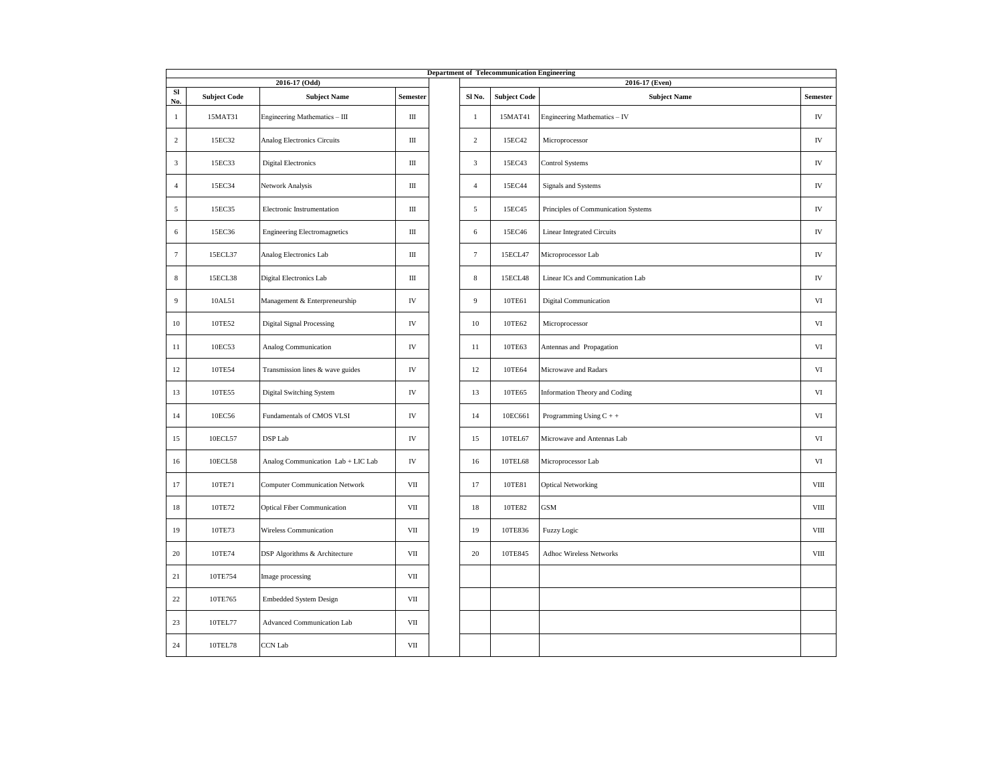|                 | <b>Department of Telecommunication Engineering</b><br>2016-17 (Odd)<br>2016-17 (Even) |                                       |              |  |                   |                     |                                     |                 |  |  |  |  |
|-----------------|---------------------------------------------------------------------------------------|---------------------------------------|--------------|--|-------------------|---------------------|-------------------------------------|-----------------|--|--|--|--|
| SI<br>No.       | <b>Subject Code</b>                                                                   | <b>Subject Name</b>                   | Semester     |  | Sl <sub>No.</sub> | <b>Subject Code</b> | <b>Subject Name</b>                 | <b>Semester</b> |  |  |  |  |
| -1              | 15MAT31                                                                               | Engineering Mathematics - III         | Ш            |  | -1                | 15MAT41             | Engineering Mathematics - IV        | IV              |  |  |  |  |
| $\overline{2}$  | 15EC32                                                                                | Analog Electronics Circuits           | $\rm III$    |  | $\overline{2}$    | 15EC42              | Microprocessor                      | ${\rm IV}$      |  |  |  |  |
| 3               | 15EC33                                                                                | <b>Digital Electronics</b>            | Ш            |  | 3                 | 15EC43              | Control Systems                     | ${\rm IV}$      |  |  |  |  |
| $\overline{4}$  | 15EC34                                                                                | Network Analysis                      | $\rm III$    |  | $\overline{4}$    | 15EC44              | Signals and Systems                 | ${\rm IV}$      |  |  |  |  |
| 5               | 15EC35                                                                                | Electronic Instrumentation            | Ш            |  | 5                 | 15EC45              | Principles of Communication Systems | ${\rm IV}$      |  |  |  |  |
| 6               | 15EC36                                                                                | <b>Engineering Electromagnetics</b>   | $\rm III$    |  | 6                 | 15EC46              | <b>Linear Integrated Circuits</b>   | ${\rm IV}$      |  |  |  |  |
| $7\phantom{.0}$ | 15ECL37                                                                               | Analog Electronics Lab                | Ш            |  | $\tau$            | 15ECL47             | Microprocessor Lab                  | IV              |  |  |  |  |
| 8               | 15ECL38                                                                               | Digital Electronics Lab               | Ш            |  | 8                 | 15ECL48             | Linear ICs and Communication Lab    | IV              |  |  |  |  |
| 9               | 10AL51                                                                                | Management & Enterpreneurship         | IV           |  | 9                 | 10TE61              | <b>Digital Communication</b>        | VI              |  |  |  |  |
| 10              | 10TE52                                                                                | <b>Digital Signal Processing</b>      | IV           |  | 10                | 10TE62              | Microprocessor                      | VI              |  |  |  |  |
| 11              | 10EC53                                                                                | Analog Communication                  | ${\rm IV}$   |  | $11\,$            | 10TE63              | Antennas and Propagation            | $_{\rm VI}$     |  |  |  |  |
| 12              | 10TE54                                                                                | Transmission lines & wave guides      | IV           |  | 12                | 10TE64              | Microwave and Radars                | VI              |  |  |  |  |
| 13              | 10TE55                                                                                | Digital Switching System              | ${\rm IV}$   |  | 13                | 10TE65              | Information Theory and Coding       | $_{\rm VI}$     |  |  |  |  |
| 14              | 10EC56                                                                                | Fundamentals of CMOS VLSI             | IV           |  | 14                | 10EC661             | Programming Using $C + +$           | VI              |  |  |  |  |
| 15              | 10ECL57                                                                               | DSP Lab                               | IV           |  | 15                | 10TEL67             | Microwave and Antennas Lab          | $_{\rm VI}$     |  |  |  |  |
| 16              | 10ECL58                                                                               | Analog Communication Lab + LIC Lab    | ${\rm IV}$   |  | 16                | 10TEL68             | Microprocessor Lab                  | VI              |  |  |  |  |
| 17              | 10TE71                                                                                | <b>Computer Communication Network</b> | VII          |  | 17                | 10TE81              | <b>Optical Networking</b>           | VIII            |  |  |  |  |
| $18\,$          | 10TE72                                                                                | <b>Optical Fiber Communication</b>    | $\rm{VII}$   |  | 18                | 10TE82              | <b>GSM</b>                          | $_{\rm VIII}$   |  |  |  |  |
| 19              | 10TE73                                                                                | Wireless Communication                | VII          |  | 19                | 10TE836             | Fuzzy Logic                         | VIII            |  |  |  |  |
| 20              | 10TE74                                                                                | DSP Algorithms & Architecture         | $_{\rm VII}$ |  | 20                | 10TE845             | <b>Adhoc Wireless Networks</b>      | $_{\rm VIII}$   |  |  |  |  |
| 21              | 10TE754                                                                               | Image processing                      | VII          |  |                   |                     |                                     |                 |  |  |  |  |
| 22              | 10TE765                                                                               | <b>Embedded System Design</b>         | VII          |  |                   |                     |                                     |                 |  |  |  |  |
| 23              | 10TEL77                                                                               | <b>Advanced Communication Lab</b>     | VII          |  |                   |                     |                                     |                 |  |  |  |  |
| 24              | 10TEL78                                                                               | <b>CCN</b> Lab                        | VII          |  |                   |                     |                                     |                 |  |  |  |  |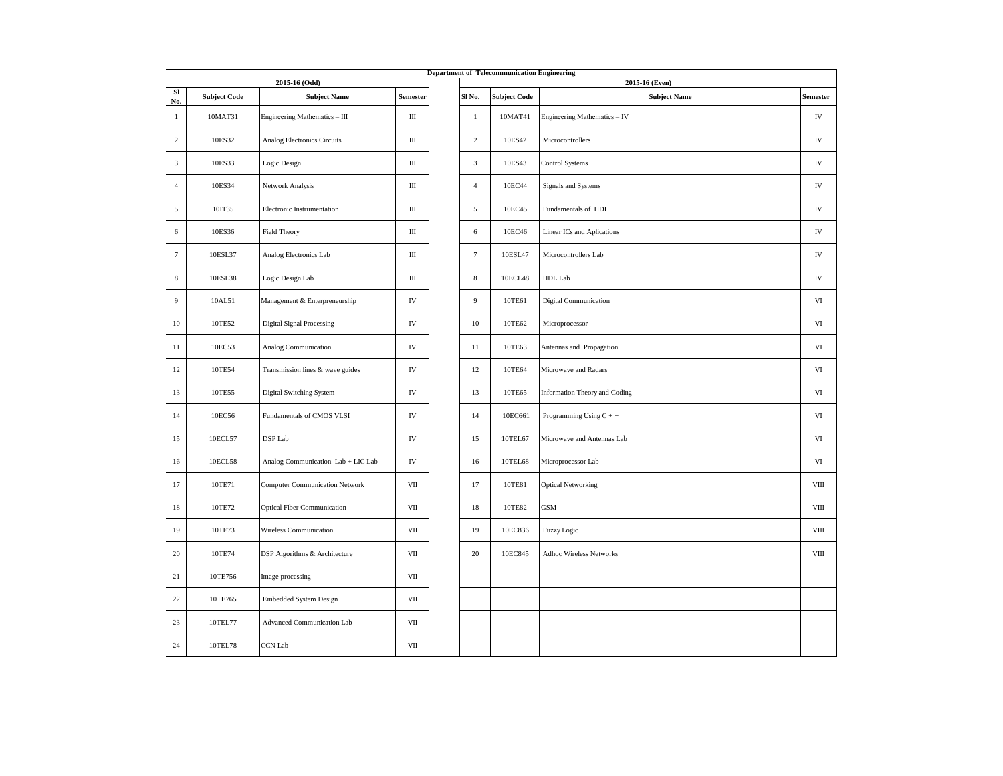|                 | <b>Department of Telecommunication Engineering</b><br>2015-16 (Odd)<br>2015-16 (Even) |                                       |              |  |                 |                     |                                |                 |  |  |  |
|-----------------|---------------------------------------------------------------------------------------|---------------------------------------|--------------|--|-----------------|---------------------|--------------------------------|-----------------|--|--|--|
| SI<br>No.       | <b>Subject Code</b>                                                                   | <b>Subject Name</b>                   | Semester     |  | Sl No.          | <b>Subject Code</b> | <b>Subject Name</b>            | <b>Semester</b> |  |  |  |
| $\mathbf{1}$    | 10MAT31                                                                               | Engineering Mathematics - III         | Ш            |  | $\mathbf{1}$    | 10MAT41             | Engineering Mathematics - IV   | ${\rm IV}$      |  |  |  |
| 2               | 10ES32                                                                                | Analog Electronics Circuits           | $\rm III$    |  | $\overline{2}$  | 10ES42              | Microcontrollers               |                 |  |  |  |
| $\overline{3}$  | 10ES33                                                                                | Logic Design                          | Ш            |  | $\overline{3}$  | 10ES43              | Control Systems                | ${\rm IV}$      |  |  |  |
| $\overline{4}$  | 10ES34                                                                                | Network Analysis                      | Ш            |  | $\overline{4}$  | 10EC44              | Signals and Systems            | IV              |  |  |  |
| 5               | 10IT35                                                                                | Electronic Instrumentation            | Ш            |  | 5               | 10EC45              | Fundamentals of HDL            | IV              |  |  |  |
| 6               | 10ES36                                                                                | Field Theory                          | Ш            |  | $\sqrt{6}$      | 10EC46              | Linear ICs and Aplications     | ${\rm IV}$      |  |  |  |
| $7\phantom{.0}$ | 10ESL37                                                                               | Analog Electronics Lab                | Ш            |  | $7\phantom{.0}$ | 10ESL47             | Microcontrollers Lab           | ${\rm IV}$      |  |  |  |
| $\,$ 8          | 10ESL38                                                                               | Logic Design Lab                      | Ш            |  | $\bf 8$         | 10ECL48             | HDL Lab                        | IV              |  |  |  |
| 9               | 10AL51                                                                                | Management & Enterpreneurship         | IV           |  | 9               | 10TE61              | <b>Digital Communication</b>   | VI              |  |  |  |
| 10              | 10TE52                                                                                | <b>Digital Signal Processing</b>      | IV           |  | 10              | 10TE62              | Microprocessor                 | VI              |  |  |  |
| 11              | 10EC53                                                                                | Analog Communication                  | IV           |  | $11\,$          | 10TE63              | Antennas and Propagation       | VI              |  |  |  |
| 12              | 10TE54                                                                                | Transmission lines & wave guides      | IV           |  | 12              | 10TE64              | Microwave and Radars           | VI              |  |  |  |
| 13              | 10TE55                                                                                | Digital Switching System              | IV           |  | 13              | 10TE65              | Information Theory and Coding  | VI              |  |  |  |
| 14              | 10EC56                                                                                | Fundamentals of CMOS VLSI             | IV           |  | 14              | 10EC661             | Programming Using $C + +$      | VI              |  |  |  |
| 15              | 10ECL57                                                                               | DSP Lab                               | IV           |  | 15              | 10TEL67             | Microwave and Antennas Lab     | $_{\rm VI}$     |  |  |  |
| 16              | 10ECL58                                                                               | Analog Communication Lab + LIC Lab    | IV           |  | 16              | 10TEL68             | Microprocessor Lab             | VI              |  |  |  |
| 17              | 10TE71                                                                                | <b>Computer Communication Network</b> | VII          |  | 17              | 10TE81              | <b>Optical Networking</b>      | VIII            |  |  |  |
| 18              | 10TE72                                                                                | <b>Optical Fiber Communication</b>    | VII          |  | 18              | 10TE82              | <b>GSM</b>                     | $_{\rm VIII}$   |  |  |  |
| 19              | 10TE73                                                                                | Wireless Communication                | VII          |  | 19              | 10EC836             | Fuzzy Logic                    | VIII            |  |  |  |
| 20              | 10TE74                                                                                | DSP Algorithms & Architecture         | $_{\rm VII}$ |  | 20              | 10EC845             | <b>Adhoc Wireless Networks</b> | $_{\rm VIII}$   |  |  |  |
| 21              | 10TE756                                                                               | Image processing                      | VII          |  |                 |                     |                                |                 |  |  |  |
| 22              | 10TE765                                                                               | <b>Embedded System Design</b>         | VII          |  |                 |                     |                                |                 |  |  |  |
| 23              | 10TEL77                                                                               | <b>Advanced Communication Lab</b>     | VII          |  |                 |                     |                                |                 |  |  |  |
| 24              | 10TEL78                                                                               | <b>CCN</b> Lab                        | VII          |  |                 |                     |                                |                 |  |  |  |